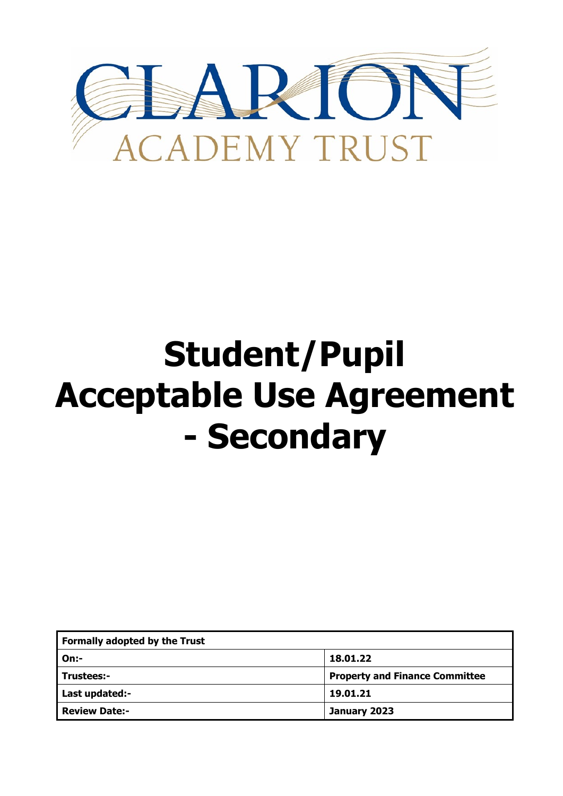

## **Student/Pupil Acceptable Use Agreement - Secondary**

| <b>Formally adopted by the Trust</b> |                                       |
|--------------------------------------|---------------------------------------|
| On:                                  | 18.01.22                              |
| Trustees:-                           | <b>Property and Finance Committee</b> |
| Last updated:-                       | 19.01.21                              |
| <b>Review Date:-</b>                 | January 2023                          |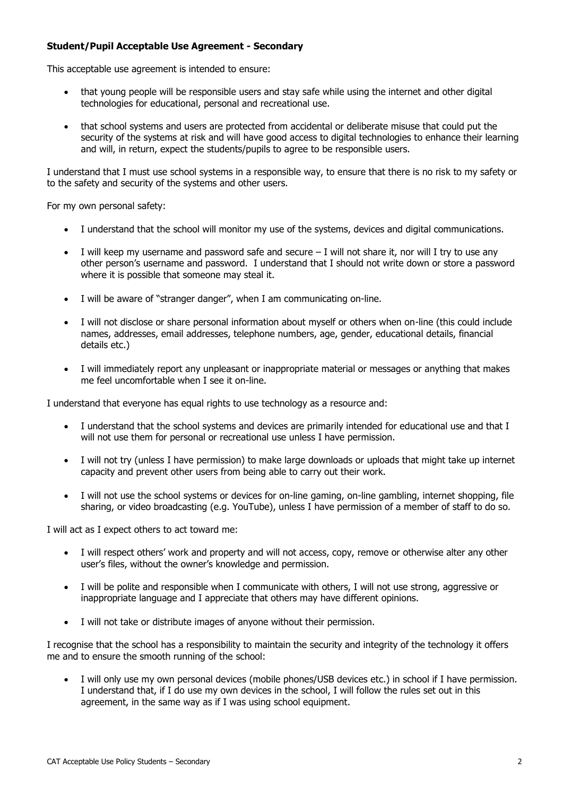## **Student/Pupil Acceptable Use Agreement - Secondary**

This acceptable use agreement is intended to ensure:

- that young people will be responsible users and stay safe while using the internet and other digital technologies for educational, personal and recreational use.
- that school systems and users are protected from accidental or deliberate misuse that could put the security of the systems at risk and will have good access to digital technologies to enhance their learning and will, in return, expect the students/pupils to agree to be responsible users.

I understand that I must use school systems in a responsible way, to ensure that there is no risk to my safety or to the safety and security of the systems and other users.

For my own personal safety:

- I understand that the school will monitor my use of the systems, devices and digital communications.
- I will keep my username and password safe and secure  $-$  I will not share it, nor will I try to use any other person's username and password. I understand that I should not write down or store a password where it is possible that someone may steal it.
- I will be aware of "stranger danger", when I am communicating on-line.
- I will not disclose or share personal information about myself or others when on-line (this could include names, addresses, email addresses, telephone numbers, age, gender, educational details, financial details etc.)
- I will immediately report any unpleasant or inappropriate material or messages or anything that makes me feel uncomfortable when I see it on-line.

I understand that everyone has equal rights to use technology as a resource and:

- I understand that the school systems and devices are primarily intended for educational use and that I will not use them for personal or recreational use unless I have permission.
- I will not try (unless I have permission) to make large downloads or uploads that might take up internet capacity and prevent other users from being able to carry out their work.
- I will not use the school systems or devices for on-line gaming, on-line gambling, internet shopping, file sharing, or video broadcasting (e.g. YouTube), unless I have permission of a member of staff to do so.

I will act as I expect others to act toward me:

- I will respect others' work and property and will not access, copy, remove or otherwise alter any other user's files, without the owner's knowledge and permission.
- I will be polite and responsible when I communicate with others, I will not use strong, aggressive or inappropriate language and I appreciate that others may have different opinions.
- I will not take or distribute images of anyone without their permission.

I recognise that the school has a responsibility to maintain the security and integrity of the technology it offers me and to ensure the smooth running of the school:

 I will only use my own personal devices (mobile phones/USB devices etc.) in school if I have permission. I understand that, if I do use my own devices in the school, I will follow the rules set out in this agreement, in the same way as if I was using school equipment.